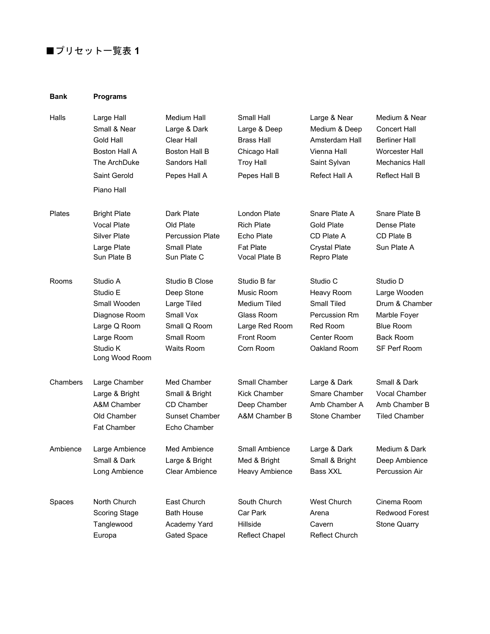## ■プリセット一覧表 1

## **Bank Programs**

| Halls    | Large Hall<br>Small & Near<br>Gold Hall<br>Boston Hall A<br>The ArchDuke<br>Saint Gerold<br>Piano Hall            | Medium Hall<br>Large & Dark<br>Clear Hall<br><b>Boston Hall B</b><br>Sandors Hall<br>Pepes Hall A    | Small Hall<br>Large & Deep<br><b>Brass Hall</b><br>Chicago Hall<br><b>Troy Hall</b><br>Pepes Hall B          | Large & Near<br>Medium & Deep<br>Amsterdam Hall<br>Vienna Hall<br>Saint Sylvan<br><b>Refect Hall A</b> | Medium & Near<br><b>Concert Hall</b><br><b>Berliner Hall</b><br>Worcester Hall<br><b>Mechanics Hall</b><br>Reflect Hall B |
|----------|-------------------------------------------------------------------------------------------------------------------|------------------------------------------------------------------------------------------------------|--------------------------------------------------------------------------------------------------------------|--------------------------------------------------------------------------------------------------------|---------------------------------------------------------------------------------------------------------------------------|
| Plates   | <b>Bright Plate</b><br><b>Vocal Plate</b><br><b>Silver Plate</b><br>Large Plate<br>Sun Plate B                    | Dark Plate<br>Old Plate<br><b>Percussion Plate</b><br>Small Plate<br>Sun Plate C                     | London Plate<br><b>Rich Plate</b><br>Echo Plate<br><b>Fat Plate</b><br>Vocal Plate B                         | Snare Plate A<br><b>Gold Plate</b><br>CD Plate A<br><b>Crystal Plate</b><br>Repro Plate                | Snare Plate B<br>Dense Plate<br>CD Plate B<br>Sun Plate A                                                                 |
| Rooms    | Studio A<br>Studio E<br>Small Wooden<br>Diagnose Room<br>Large Q Room<br>Large Room<br>Studio K<br>Long Wood Room | Studio B Close<br>Deep Stone<br>Large Tiled<br>Small Vox<br>Small Q Room<br>Small Room<br>Waits Room | Studio B far<br>Music Room<br><b>Medium Tiled</b><br>Glass Room<br>Large Red Room<br>Front Room<br>Corn Room | Studio C<br>Heavy Room<br>Small Tiled<br>Percussion Rm<br>Red Room<br>Center Room<br>Oakland Room      | Studio D<br>Large Wooden<br>Drum & Chamber<br>Marble Foyer<br><b>Blue Room</b><br><b>Back Room</b><br>SF Perf Room        |
| Chambers | Large Chamber<br>Large & Bright<br>A&M Chamber<br>Old Chamber<br>Fat Chamber                                      | Med Chamber<br>Small & Bright<br>CD Chamber<br><b>Sunset Chamber</b><br>Echo Chamber                 | Small Chamber<br><b>Kick Chamber</b><br>Deep Chamber<br>A&M Chamber B                                        | Large & Dark<br>Smare Chamber<br>Amb Chamber A<br>Stone Chamber                                        | Small & Dark<br>Vocal Chamber<br>Amb Chamber B<br><b>Tiled Chamber</b>                                                    |
| Ambience | Large Ambience<br>Small & Dark<br>Long Ambience                                                                   | Med Ambience<br>Large & Bright<br>Clear Ambience                                                     | Small Ambience<br>Med & Bright<br><b>Heavy Ambience</b>                                                      | Large & Dark<br>Small & Bright<br>Bass XXL                                                             | Medium & Dark<br>Deep Ambience<br>Percussion Air                                                                          |
| Spaces   | North Church<br>Scoring Stage<br>Tanglewood<br>Europa                                                             | East Church<br><b>Bath House</b><br>Academy Yard<br>Gated Space                                      | South Church<br>Car Park<br>Hillside<br><b>Reflect Chapel</b>                                                | <b>West Church</b><br>Arena<br>Cavern<br><b>Reflect Church</b>                                         | Cinema Room<br>Redwood Forest<br><b>Stone Quarry</b>                                                                      |